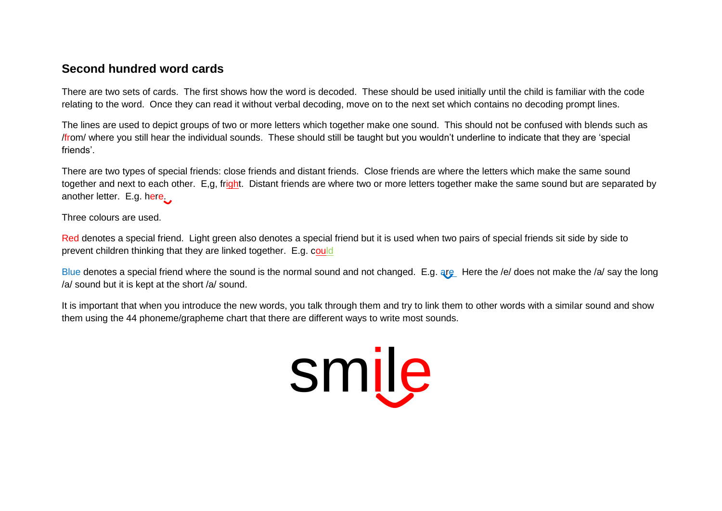## **Second hundred word cards**

There are two sets of cards. The first shows how the word is decoded. These should be used initially until the child is familiar with the code relating to the word. Once they can read it without verbal decoding, move on to the next set which contains no decoding prompt lines.

The lines are used to depict groups of two or more letters which together make one sound. This should not be confused with blends such as /from/ where you still hear the individual sounds. These should still be taught but you wouldn't underline to indicate that they are 'special friends'.

There are two types of special friends: close friends and distant friends. Close friends are where the letters which make the same sound together and next to each other. E,g, fright. Distant friends are where two or more letters together make the same sound but are separated by another letter. E.g. here.

Three colours are used.

Red denotes a special friend. Light green also denotes a special friend but it is used when two pairs of special friends sit side by side to prevent children thinking that they are linked together. E.g. could

Blue denotes a special friend where the sound is the normal sound and not changed. E.g. are Here the /e/ does not make the /a/ say the long /a/ sound but it is kept at the short /a/ sound.

It is important that when you introduce the new words, you talk through them and try to link them to other words with a similar sound and show them using the 44 phoneme/grapheme chart that there are different ways to write most sounds.

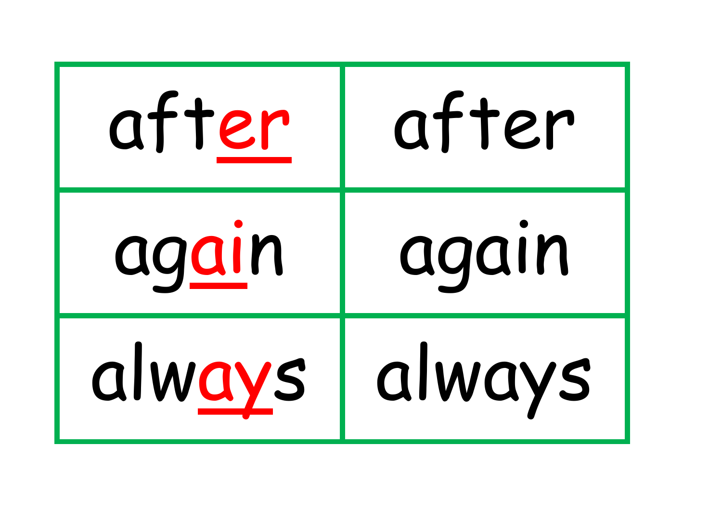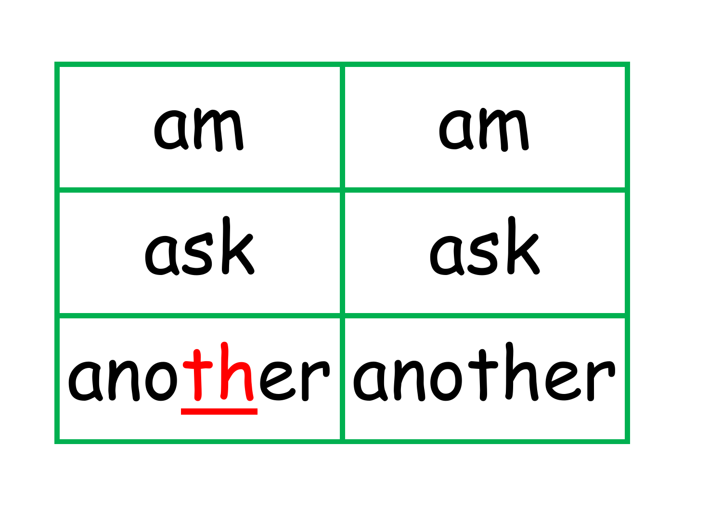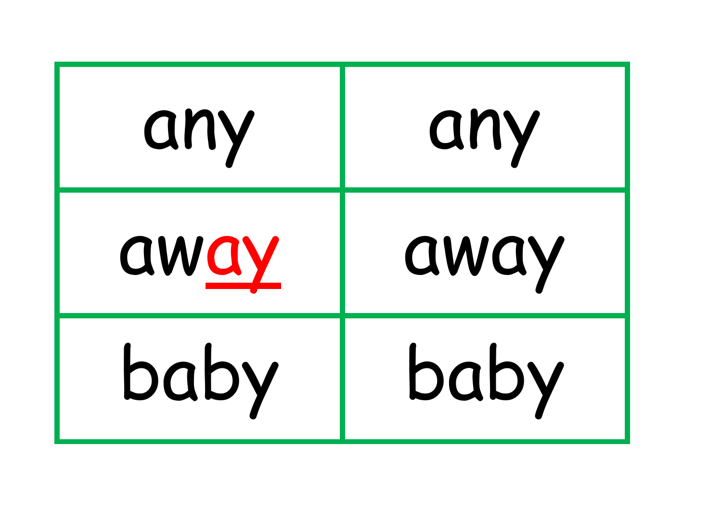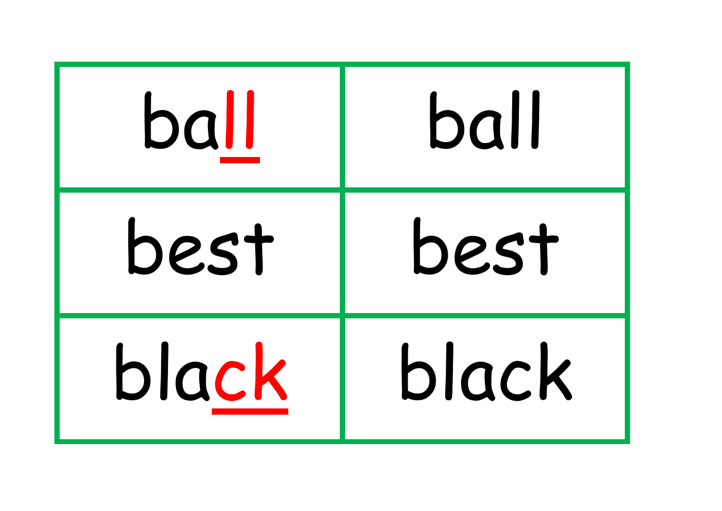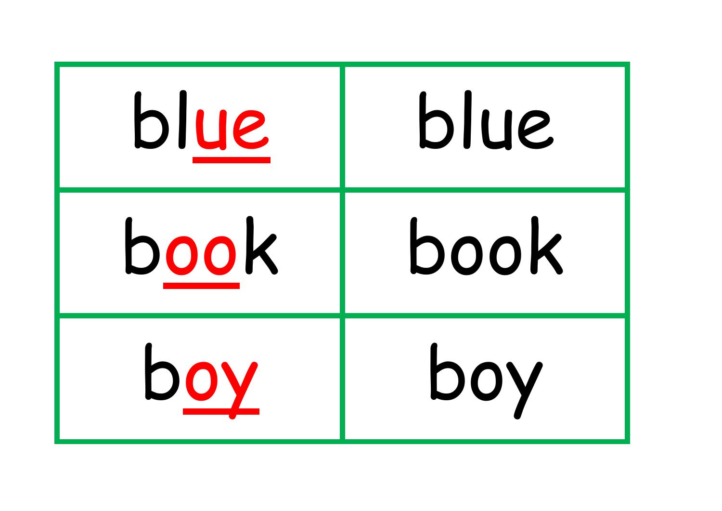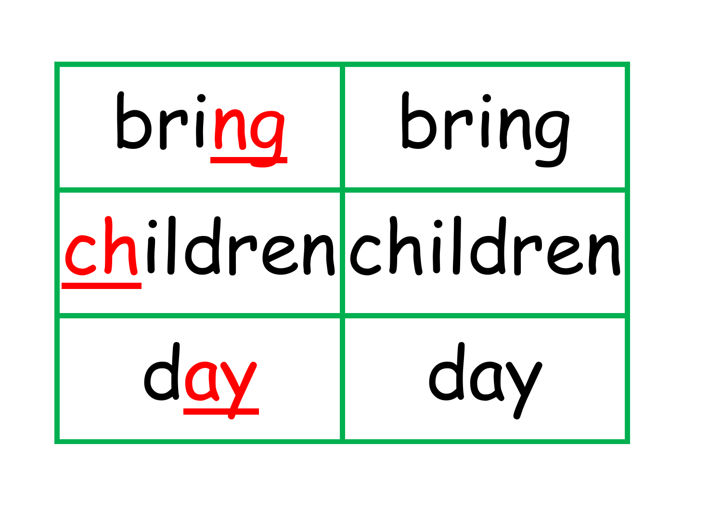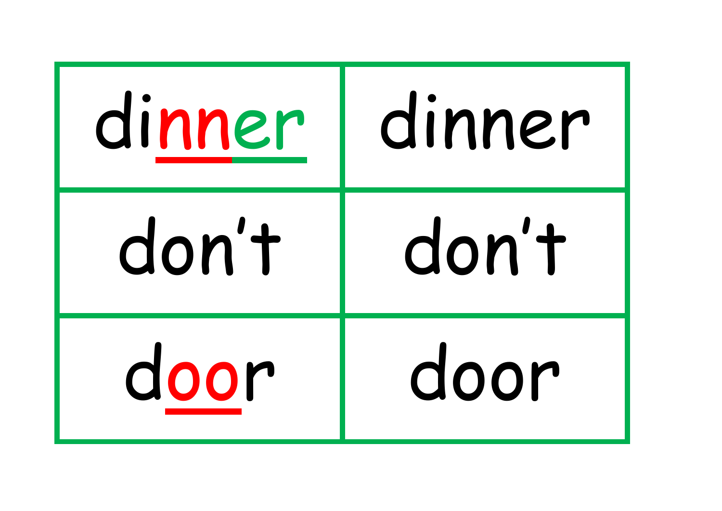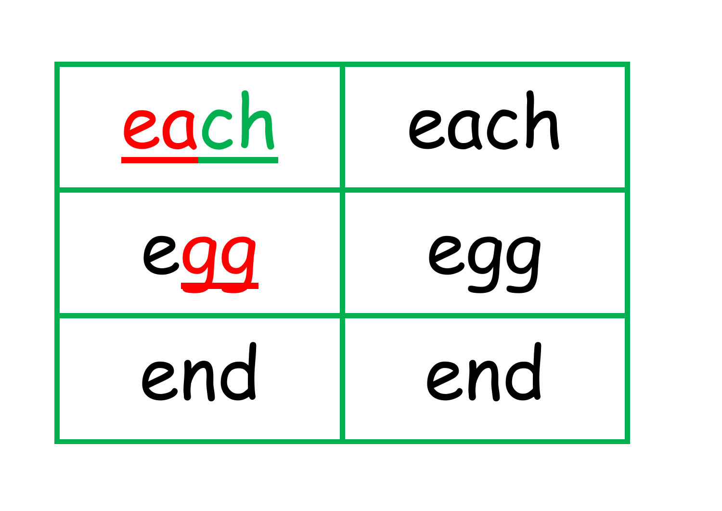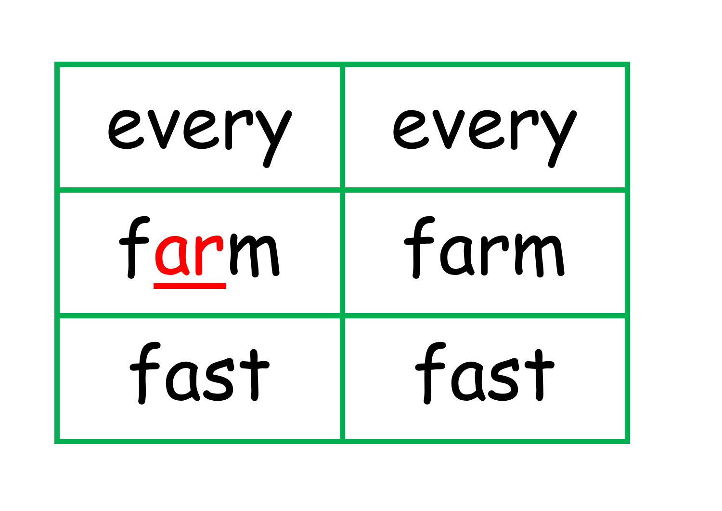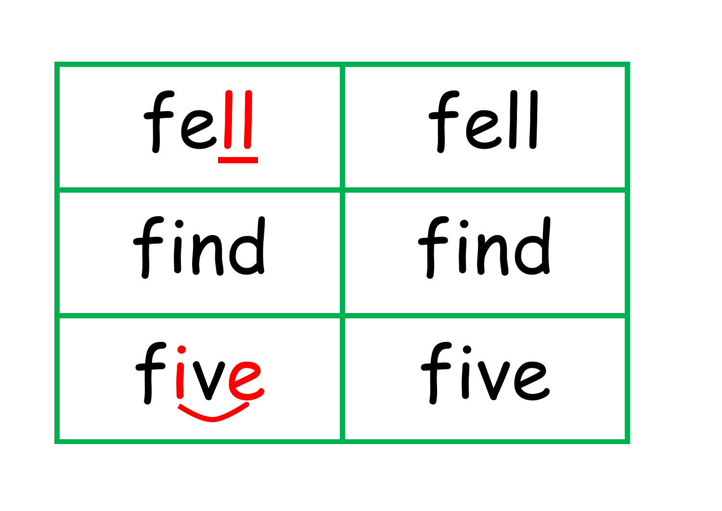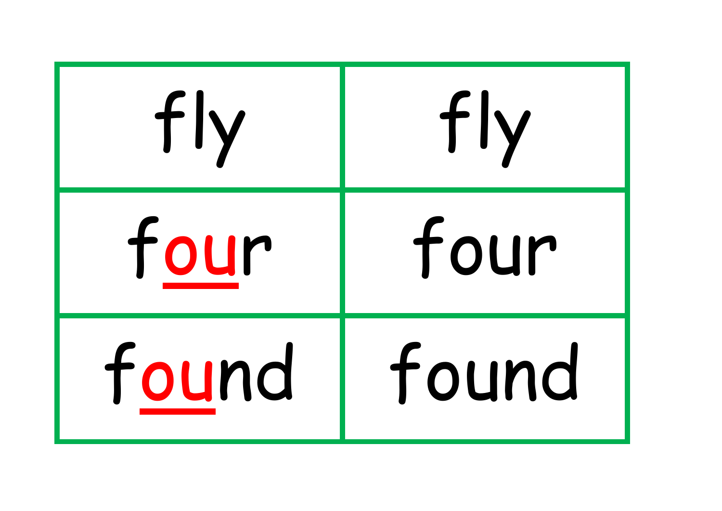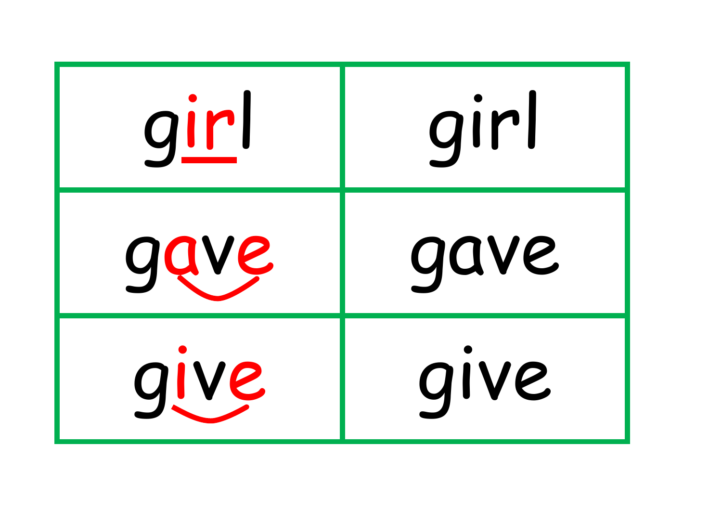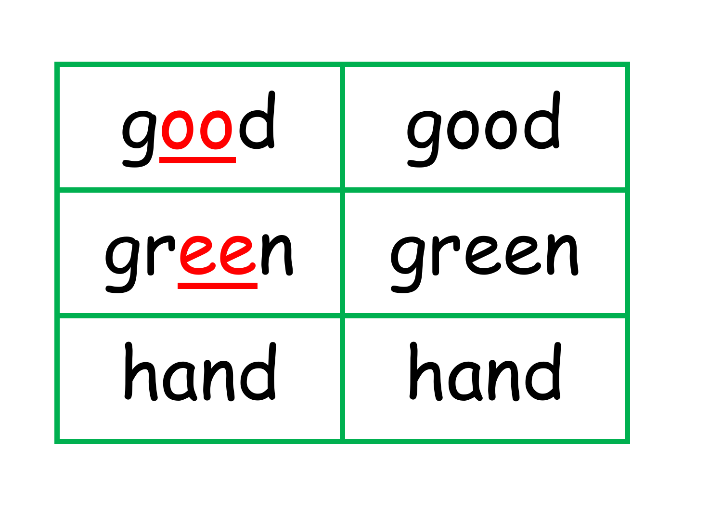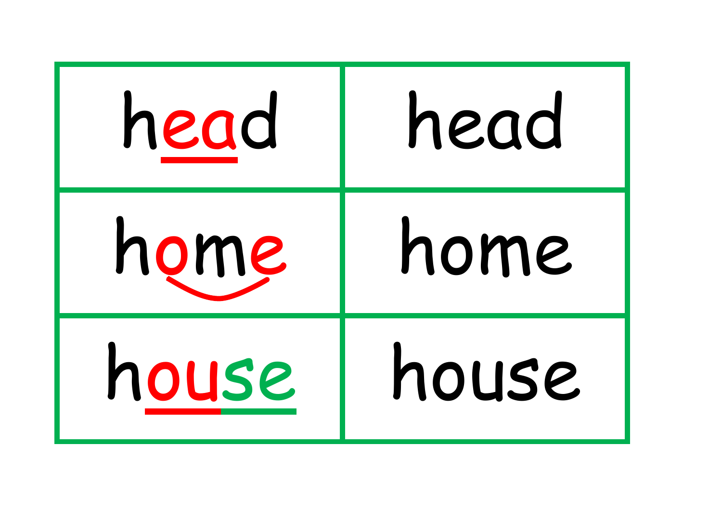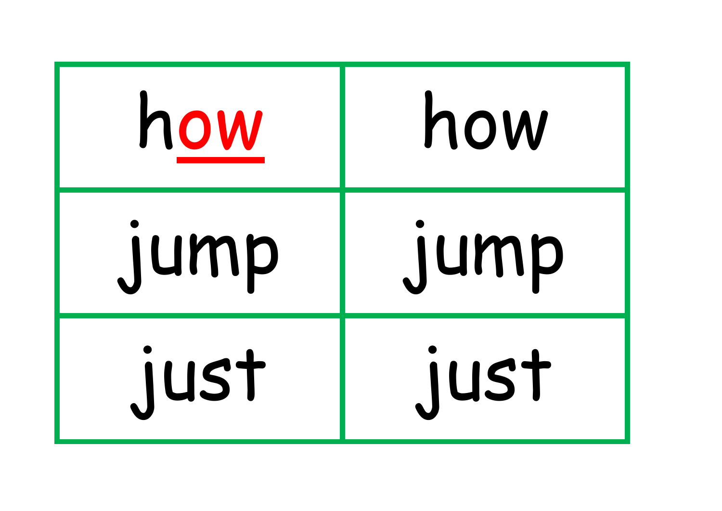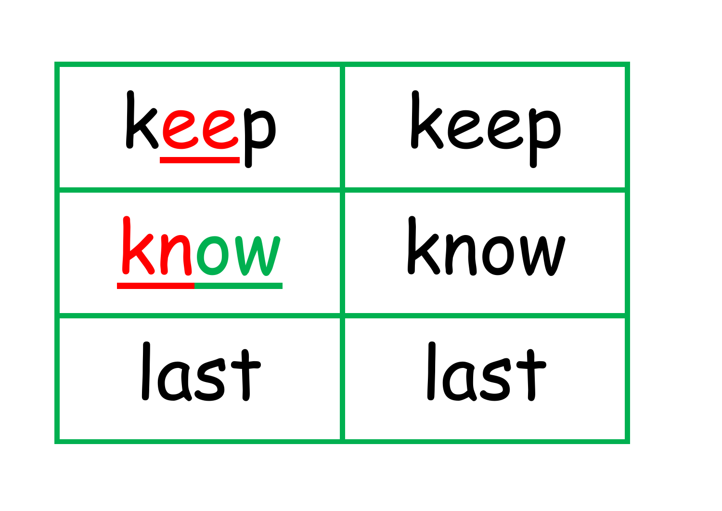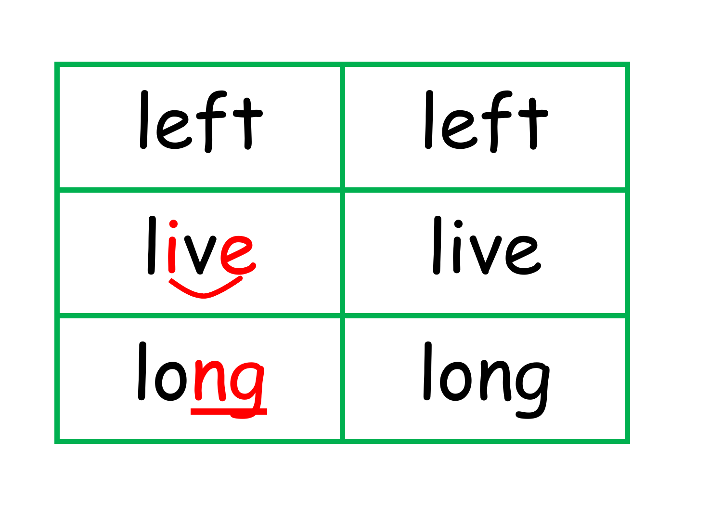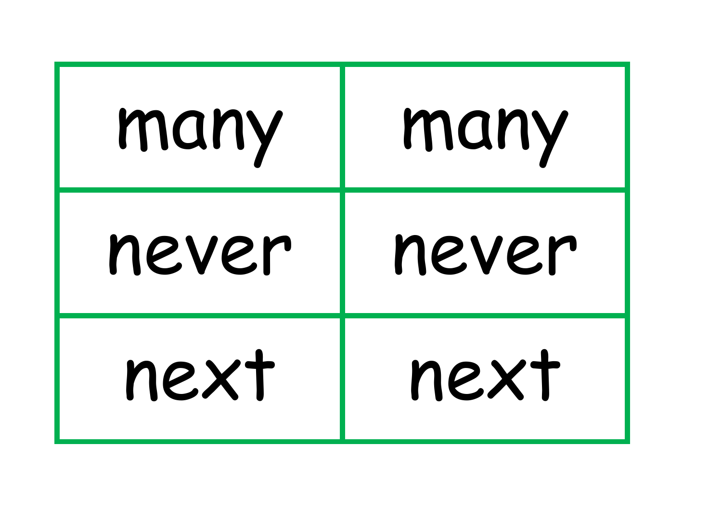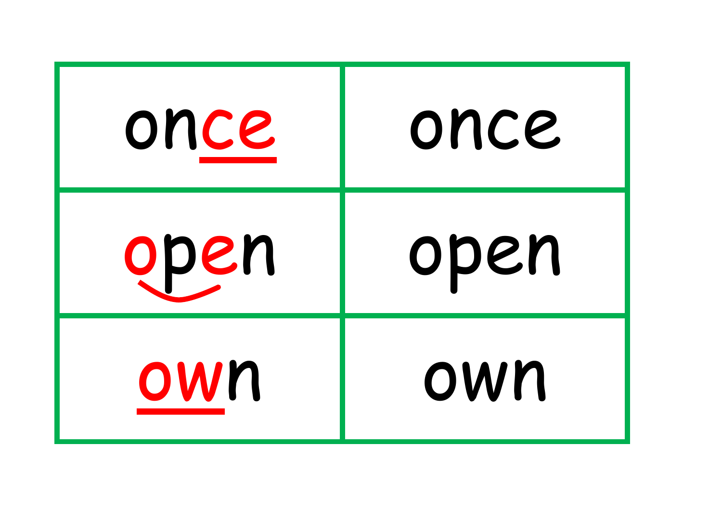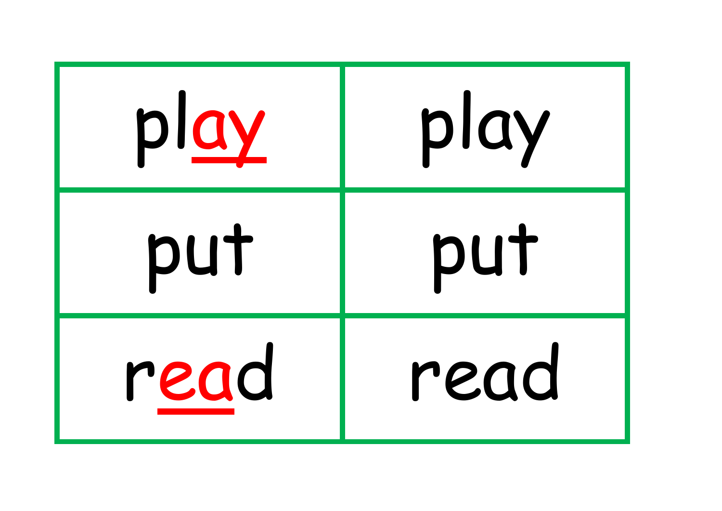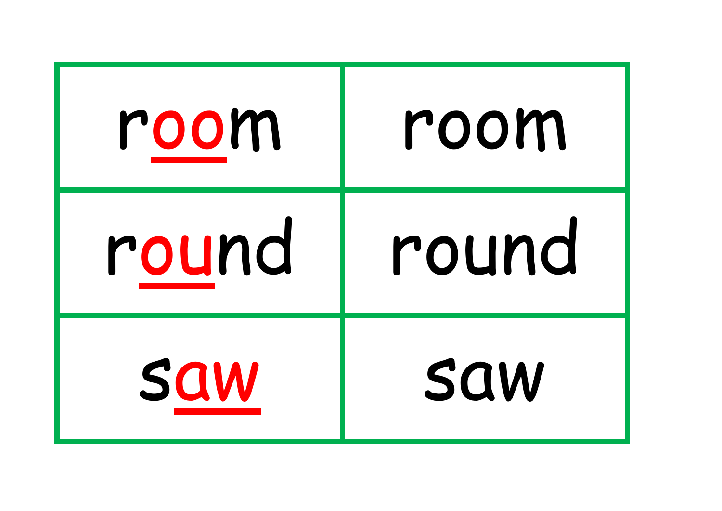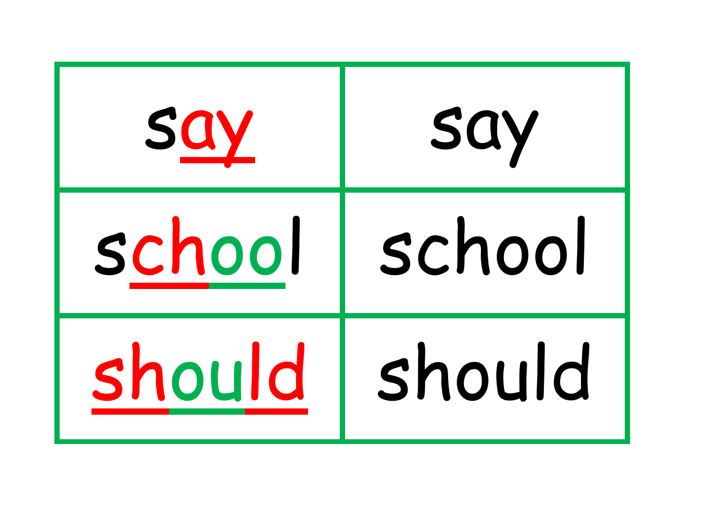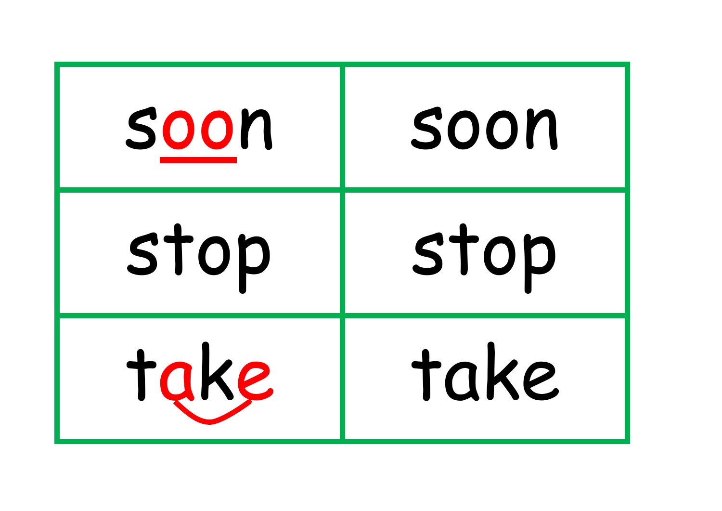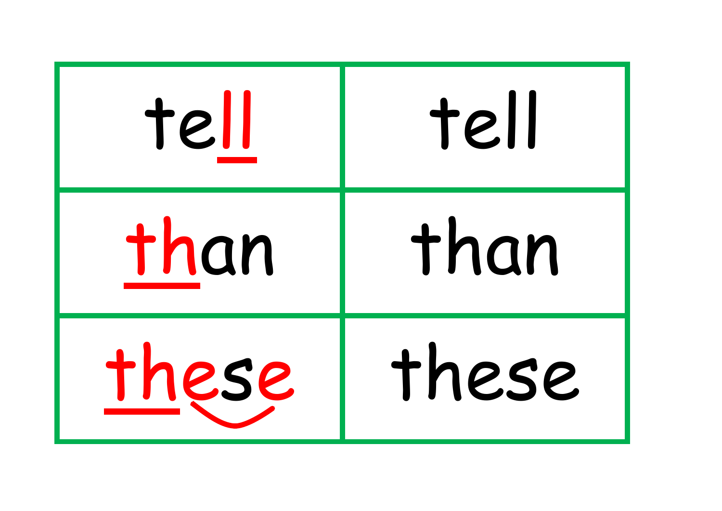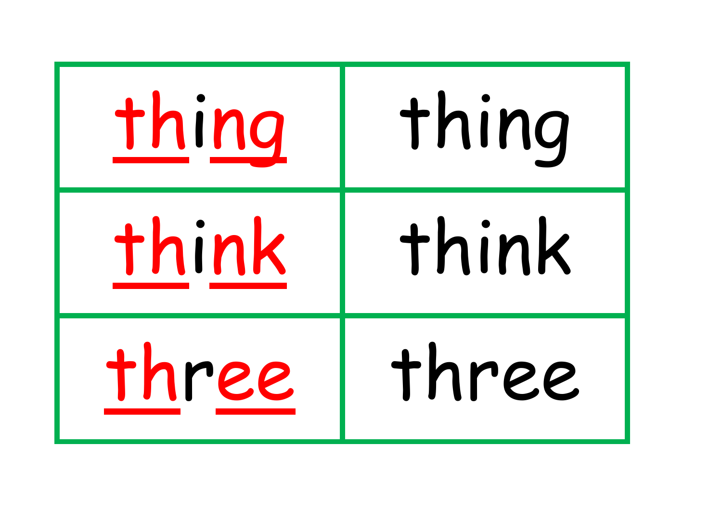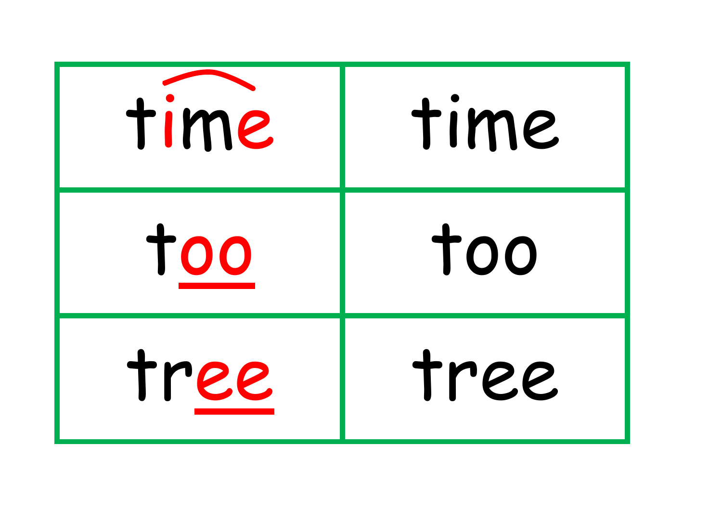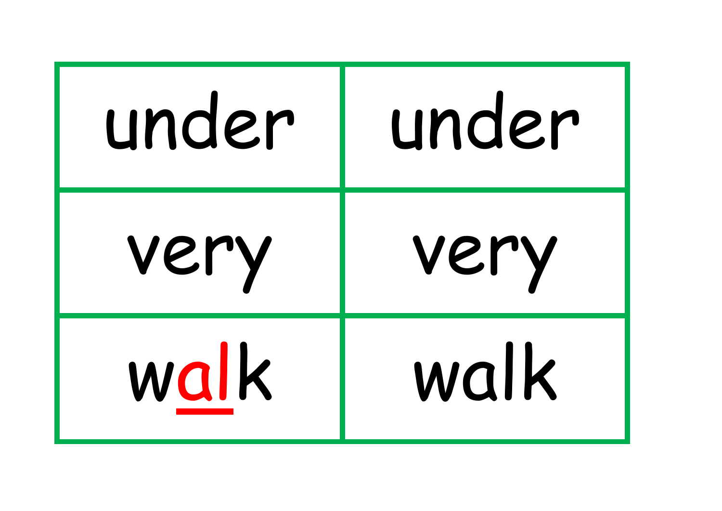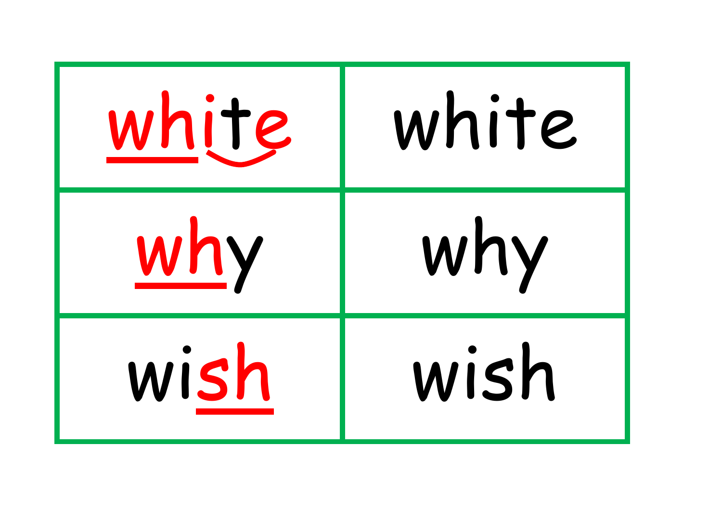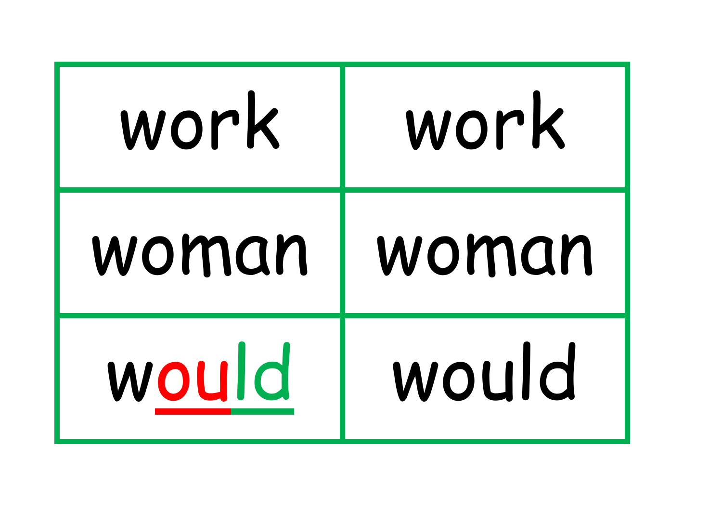